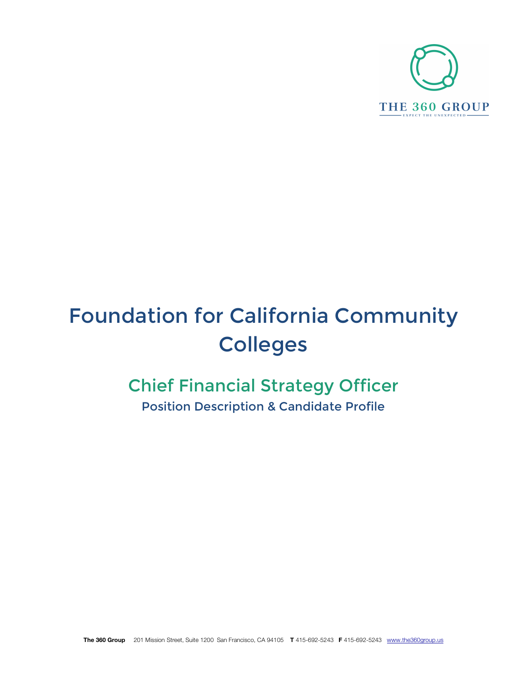

# Foundation for California Community Colleges

## Chief Financial Strategy Officer Position Description & Candidate Profile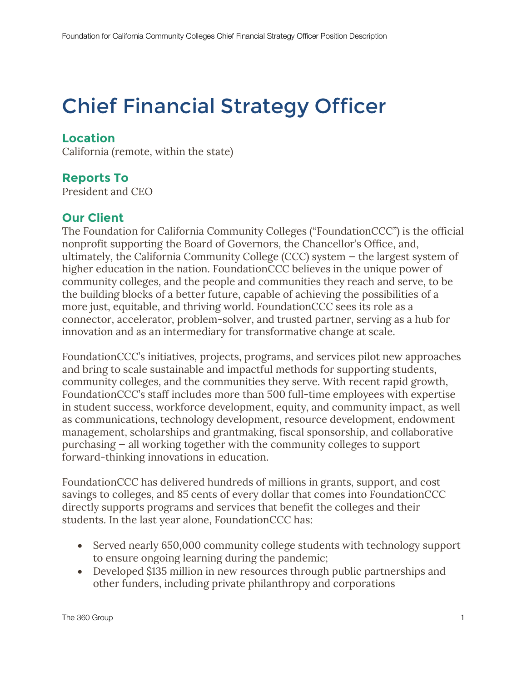## Chief Financial Strategy Officer

### **Location**

California (remote, within the state)

#### **Reports To**

President and CEO

#### **Our Client**

The Foundation for California Community Colleges ("FoundationCCC") is the official nonprofit supporting the Board of Governors, the Chancellor's Office, and, ultimately, the California Community College (CCC) system — the largest system of higher education in the nation. FoundationCCC believes in the unique power of community colleges, and the people and communities they reach and serve, to be the building blocks of a better future, capable of achieving the possibilities of a more just, equitable, and thriving world. FoundationCCC sees its role as a connector, accelerator, problem-solver, and trusted partner, serving as a hub for innovation and as an intermediary for transformative change at scale.

FoundationCCC's initiatives, projects, programs, and services pilot new approaches and bring to scale sustainable and impactful methods for supporting students, community colleges, and the communities they serve. With recent rapid growth, FoundationCCC's staff includes more than 500 full-time employees with expertise in student success, workforce development, equity, and community impact, as well as communications, technology development, resource development, endowment management, scholarships and grantmaking, fiscal sponsorship, and collaborative purchasing — all working together with the community colleges to support forward-thinking innovations in education.

FoundationCCC has delivered hundreds of millions in grants, support, and cost savings to colleges, and 85 cents of every dollar that comes into FoundationCCC directly supports programs and services that benefit the colleges and their students. In the last year alone, FoundationCCC has:

- Served nearly 650,000 community college students with technology support to ensure ongoing learning during the pandemic;
- Developed \$135 million in new resources through public partnerships and other funders, including private philanthropy and corporations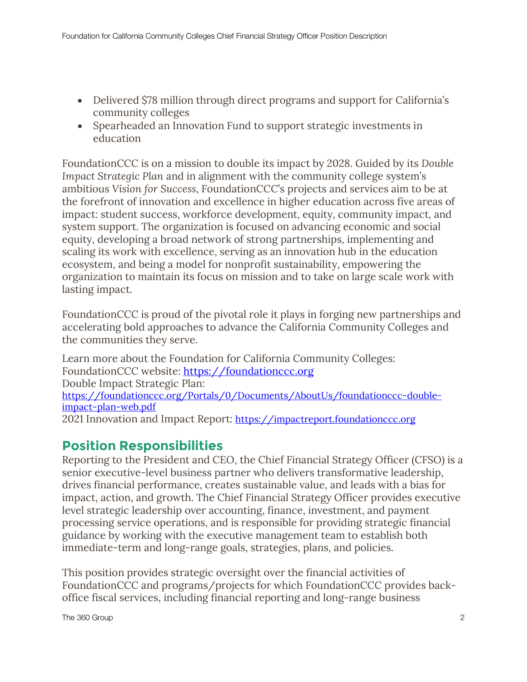- Delivered \$78 million through direct programs and support for California's community colleges
- Spearheaded an Innovation Fund to support strategic investments in education

FoundationCCC is on a mission to double its impact by 2028. Guided by its *Double Impact Strategic Plan* and in alignment with the community college system's ambitious *Vision for Success*, FoundationCCC's projects and services aim to be at the forefront of innovation and excellence in higher education across five areas of impact: student success, workforce development, equity, community impact, and system support. The organization is focused on advancing economic and social equity, developing a broad network of strong partnerships, implementing and scaling its work with excellence, serving as an innovation hub in the education ecosystem, and being a model for nonprofit sustainability, empowering the organization to maintain its focus on mission and to take on large scale work with lasting impact.

FoundationCCC is proud of the pivotal role it plays in forging new partnerships and accelerating bold approaches to advance the California Community Colleges and the communities they serve.

Learn more about the Foundation for California Community Colleges: FoundationCCC website: https://foundationccc.org Double Impact Strategic Plan: https://foundationccc.org/Portals/0/Documents/AboutUs/foundationccc-doubleimpact-plan-web.pdf 2021 Innovation and Impact Report: https://impactreport.foundationccc.org

## **Position Responsibilities**

Reporting to the President and CEO, the Chief Financial Strategy Officer (CFSO) is a senior executive-level business partner who delivers transformative leadership, drives financial performance, creates sustainable value, and leads with a bias for impact, action, and growth. The Chief Financial Strategy Officer provides executive level strategic leadership over accounting, finance, investment, and payment processing service operations, and is responsible for providing strategic financial guidance by working with the executive management team to establish both immediate-term and long-range goals, strategies, plans, and policies.

This position provides strategic oversight over the financial activities of FoundationCCC and programs/projects for which FoundationCCC provides backoffice fiscal services, including financial reporting and long-range business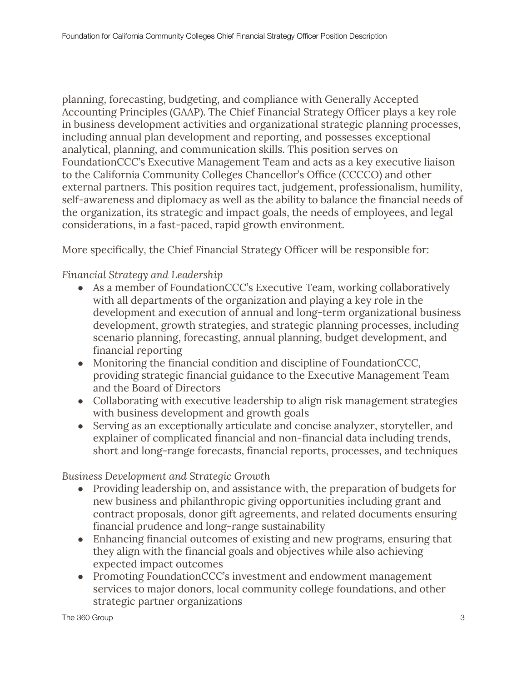planning, forecasting, budgeting, and compliance with Generally Accepted Accounting Principles (GAAP). The Chief Financial Strategy Officer plays a key role in business development activities and organizational strategic planning processes, including annual plan development and reporting, and possesses exceptional analytical, planning, and communication skills. This position serves on FoundationCCC's Executive Management Team and acts as a key executive liaison to the California Community Colleges Chancellor's Office (CCCCO) and other external partners. This position requires tact, judgement, professionalism, humility, self-awareness and diplomacy as well as the ability to balance the financial needs of the organization, its strategic and impact goals, the needs of employees, and legal considerations, in a fast-paced, rapid growth environment.

More specifically, the Chief Financial Strategy Officer will be responsible for:

#### *Financial Strategy and Leadership*

- As a member of Foundation CCC's Executive Team, working collaboratively with all departments of the organization and playing a key role in the development and execution of annual and long-term organizational business development, growth strategies, and strategic planning processes, including scenario planning, forecasting, annual planning, budget development, and financial reporting
- Monitoring the financial condition and discipline of FoundationCCC, providing strategic financial guidance to the Executive Management Team and the Board of Directors
- Collaborating with executive leadership to align risk management strategies with business development and growth goals
- Serving as an exceptionally articulate and concise analyzer, storyteller, and explainer of complicated financial and non-financial data including trends, short and long-range forecasts, financial reports, processes, and techniques

#### *Business Development and Strategic Growth*

- Providing leadership on, and assistance with, the preparation of budgets for new business and philanthropic giving opportunities including grant and contract proposals, donor gift agreements, and related documents ensuring financial prudence and long-range sustainability
- Enhancing financial outcomes of existing and new programs, ensuring that they align with the financial goals and objectives while also achieving expected impact outcomes
- Promoting FoundationCCC's investment and endowment management services to major donors, local community college foundations, and other strategic partner organizations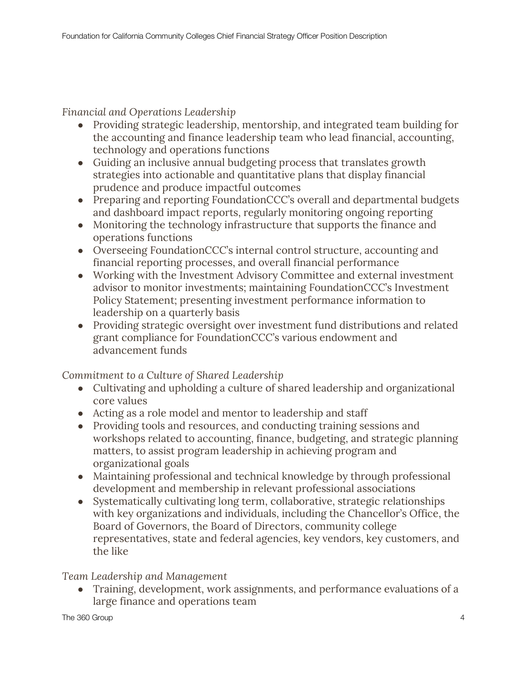*Financial and Operations Leadership*

- Providing strategic leadership, mentorship, and integrated team building for the accounting and finance leadership team who lead financial, accounting, technology and operations functions
- Guiding an inclusive annual budgeting process that translates growth strategies into actionable and quantitative plans that display financial prudence and produce impactful outcomes
- Preparing and reporting FoundationCCC's overall and departmental budgets and dashboard impact reports, regularly monitoring ongoing reporting
- Monitoring the technology infrastructure that supports the finance and operations functions
- Overseeing FoundationCCC's internal control structure, accounting and financial reporting processes, and overall financial performance
- Working with the Investment Advisory Committee and external investment advisor to monitor investments; maintaining FoundationCCC's Investment Policy Statement; presenting investment performance information to leadership on a quarterly basis
- Providing strategic oversight over investment fund distributions and related grant compliance for FoundationCCC's various endowment and advancement funds

*Commitment to a Culture of Shared Leadership*

- Cultivating and upholding a culture of shared leadership and organizational core values
- Acting as a role model and mentor to leadership and staff
- Providing tools and resources, and conducting training sessions and workshops related to accounting, finance, budgeting, and strategic planning matters, to assist program leadership in achieving program and organizational goals
- Maintaining professional and technical knowledge by through professional development and membership in relevant professional associations
- Systematically cultivating long term, collaborative, strategic relationships with key organizations and individuals, including the Chancellor's Office, the Board of Governors, the Board of Directors, community college representatives, state and federal agencies, key vendors, key customers, and the like

#### *Team Leadership and Management*

● Training, development, work assignments, and performance evaluations of a large finance and operations team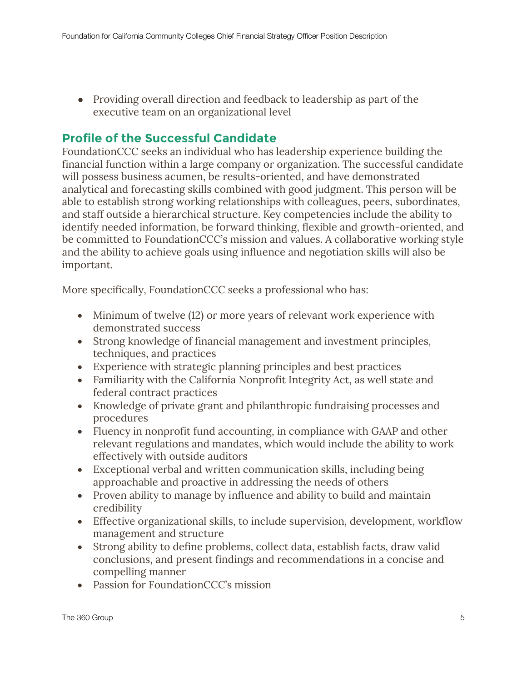• Providing overall direction and feedback to leadership as part of the executive team on an organizational level

## **Profile of the Successful Candidate**

FoundationCCC seeks an individual who has leadership experience building the financial function within a large company or organization. The successful candidate will possess business acumen, be results-oriented, and have demonstrated analytical and forecasting skills combined with good judgment. This person will be able to establish strong working relationships with colleagues, peers, subordinates, and staff outside a hierarchical structure. Key competencies include the ability to identify needed information, be forward thinking, flexible and growth-oriented, and be committed to FoundationCCC's mission and values. A collaborative working style and the ability to achieve goals using influence and negotiation skills will also be important.

More specifically, FoundationCCC seeks a professional who has:

- Minimum of twelve (12) or more years of relevant work experience with demonstrated success
- Strong knowledge of financial management and investment principles, techniques, and practices
- Experience with strategic planning principles and best practices
- Familiarity with the California Nonprofit Integrity Act, as well state and federal contract practices
- Knowledge of private grant and philanthropic fundraising processes and procedures
- Fluency in nonprofit fund accounting, in compliance with GAAP and other relevant regulations and mandates, which would include the ability to work effectively with outside auditors
- Exceptional verbal and written communication skills, including being approachable and proactive in addressing the needs of others
- Proven ability to manage by influence and ability to build and maintain credibility
- Effective organizational skills, to include supervision, development, workflow management and structure
- Strong ability to define problems, collect data, establish facts, draw valid conclusions, and present findings and recommendations in a concise and compelling manner
- Passion for FoundationCCC's mission